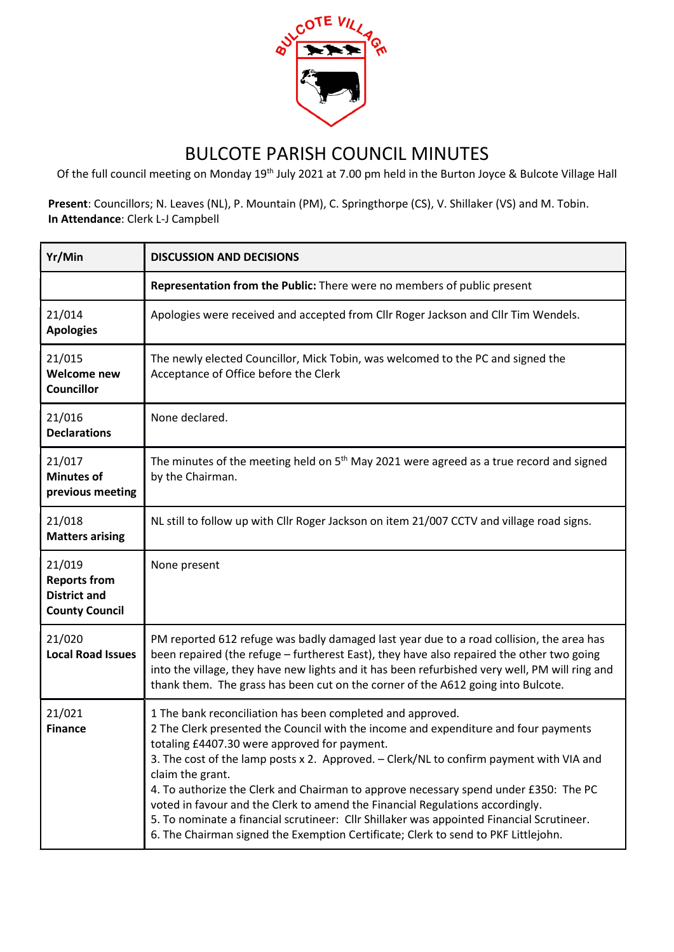

## BULCOTE PARISH COUNCIL MINUTES

Of the full council meeting on Monday 19th July 2021 at 7.00 pm held in the Burton Joyce & Bulcote Village Hall

Present: Councillors; N. Leaves (NL), P. Mountain (PM), C. Springthorpe (CS), V. Shillaker (VS) and M. Tobin. In Attendance: Clerk L-J Campbell

| Yr/Min                                                                        | <b>DISCUSSION AND DECISIONS</b>                                                                                                                                                                                                                                                                                                                                                                                                                                                                                                                                                                                                                                              |
|-------------------------------------------------------------------------------|------------------------------------------------------------------------------------------------------------------------------------------------------------------------------------------------------------------------------------------------------------------------------------------------------------------------------------------------------------------------------------------------------------------------------------------------------------------------------------------------------------------------------------------------------------------------------------------------------------------------------------------------------------------------------|
|                                                                               | Representation from the Public: There were no members of public present                                                                                                                                                                                                                                                                                                                                                                                                                                                                                                                                                                                                      |
| 21/014<br><b>Apologies</b>                                                    | Apologies were received and accepted from Cllr Roger Jackson and Cllr Tim Wendels.                                                                                                                                                                                                                                                                                                                                                                                                                                                                                                                                                                                           |
| 21/015<br>Welcome new<br><b>Councillor</b>                                    | The newly elected Councillor, Mick Tobin, was welcomed to the PC and signed the<br>Acceptance of Office before the Clerk                                                                                                                                                                                                                                                                                                                                                                                                                                                                                                                                                     |
| 21/016<br><b>Declarations</b>                                                 | None declared.                                                                                                                                                                                                                                                                                                                                                                                                                                                                                                                                                                                                                                                               |
| 21/017<br><b>Minutes of</b><br>previous meeting                               | The minutes of the meeting held on $5th$ May 2021 were agreed as a true record and signed<br>by the Chairman.                                                                                                                                                                                                                                                                                                                                                                                                                                                                                                                                                                |
| 21/018<br><b>Matters arising</b>                                              | NL still to follow up with Cllr Roger Jackson on item 21/007 CCTV and village road signs.                                                                                                                                                                                                                                                                                                                                                                                                                                                                                                                                                                                    |
| 21/019<br><b>Reports from</b><br><b>District and</b><br><b>County Council</b> | None present                                                                                                                                                                                                                                                                                                                                                                                                                                                                                                                                                                                                                                                                 |
| 21/020<br><b>Local Road Issues</b>                                            | PM reported 612 refuge was badly damaged last year due to a road collision, the area has<br>been repaired (the refuge - furtherest East), they have also repaired the other two going<br>into the village, they have new lights and it has been refurbished very well, PM will ring and<br>thank them. The grass has been cut on the corner of the A612 going into Bulcote.                                                                                                                                                                                                                                                                                                  |
| 21/021<br><b>Finance</b>                                                      | 1 The bank reconciliation has been completed and approved.<br>2 The Clerk presented the Council with the income and expenditure and four payments<br>totaling £4407.30 were approved for payment.<br>3. The cost of the lamp posts x 2. Approved. - Clerk/NL to confirm payment with VIA and<br>claim the grant.<br>4. To authorize the Clerk and Chairman to approve necessary spend under £350: The PC<br>voted in favour and the Clerk to amend the Financial Regulations accordingly.<br>5. To nominate a financial scrutineer: Cllr Shillaker was appointed Financial Scrutineer.<br>6. The Chairman signed the Exemption Certificate; Clerk to send to PKF Littlejohn. |